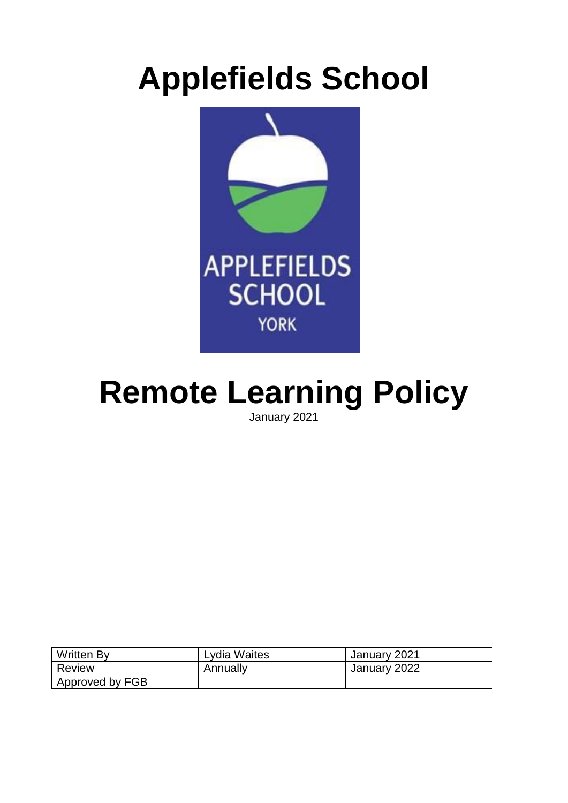# **Applefields School**



# **Remote Learning Policy**

January 2021

| <b>Written By</b> | Lydia Waites | January 2021 |
|-------------------|--------------|--------------|
| Review            | Annually     | January 2022 |
| Approved by FGB   |              |              |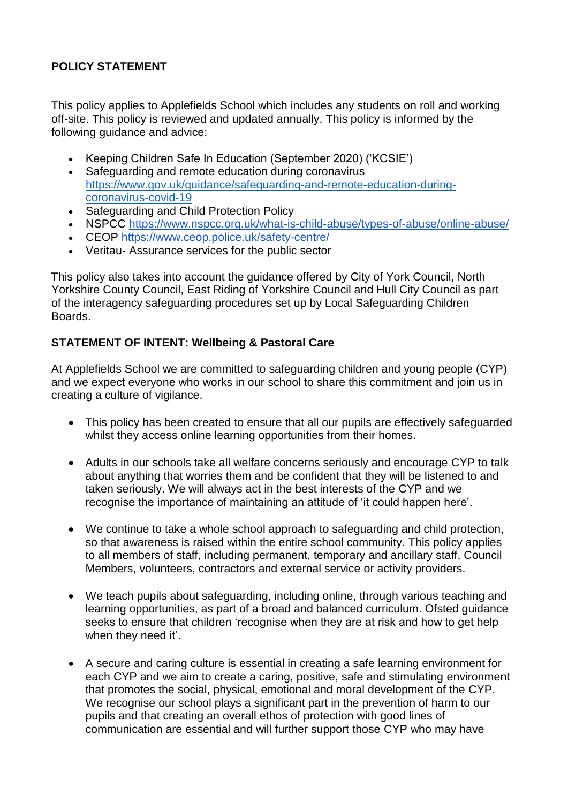# **POLICY STATEMENT**

This policy applies to Applefields School which includes any students on roll and working off-site. This policy is reviewed and updated annually. This policy is informed by the following guidance and advice:

- Keeping Children Safe In Education (September 2020) ('KCSIE')
- Safeguarding and remote education during coronavirus [https://www.gov.uk/guidance/safeguarding-and-remote-education-during](https://www.gov.uk/guidance/safeguarding-and-remote-education-during-coronavirus-covid-19)[coronavirus-covid-19](https://www.gov.uk/guidance/safeguarding-and-remote-education-during-coronavirus-covid-19)
- Safeguarding and Child Protection Policy
- NSPCC<https://www.nspcc.org.uk/what-is-child-abuse/types-of-abuse/online-abuse/>
- CEOP<https://www.ceop.police.uk/safety-centre/>
- Veritau- Assurance services for the public sector

This policy also takes into account the guidance offered by City of York Council, North Yorkshire County Council, East Riding of Yorkshire Council and Hull City Council as part of the interagency safeguarding procedures set up by Local Safeguarding Children Boards.

## **STATEMENT OF INTENT: Wellbeing & Pastoral Care**

At Applefields School we are committed to safeguarding children and young people (CYP) and we expect everyone who works in our school to share this commitment and join us in creating a culture of vigilance.

- This policy has been created to ensure that all our pupils are effectively safeguarded whilst they access online learning opportunities from their homes.
- Adults in our schools take all welfare concerns seriously and encourage CYP to talk about anything that worries them and be confident that they will be listened to and taken seriously. We will always act in the best interests of the CYP and we recognise the importance of maintaining an attitude of 'it could happen here'.
- We continue to take a whole school approach to safeguarding and child protection, so that awareness is raised within the entire school community. This policy applies to all members of staff, including permanent, temporary and ancillary staff, Council Members, volunteers, contractors and external service or activity providers.
- We teach pupils about safeguarding, including online, through various teaching and learning opportunities, as part of a broad and balanced curriculum. Ofsted guidance seeks to ensure that children 'recognise when they are at risk and how to get help when they need it'.
- A secure and caring culture is essential in creating a safe learning environment for each CYP and we aim to create a caring, positive, safe and stimulating environment that promotes the social, physical, emotional and moral development of the CYP. We recognise our school plays a significant part in the prevention of harm to our pupils and that creating an overall ethos of protection with good lines of communication are essential and will further support those CYP who may have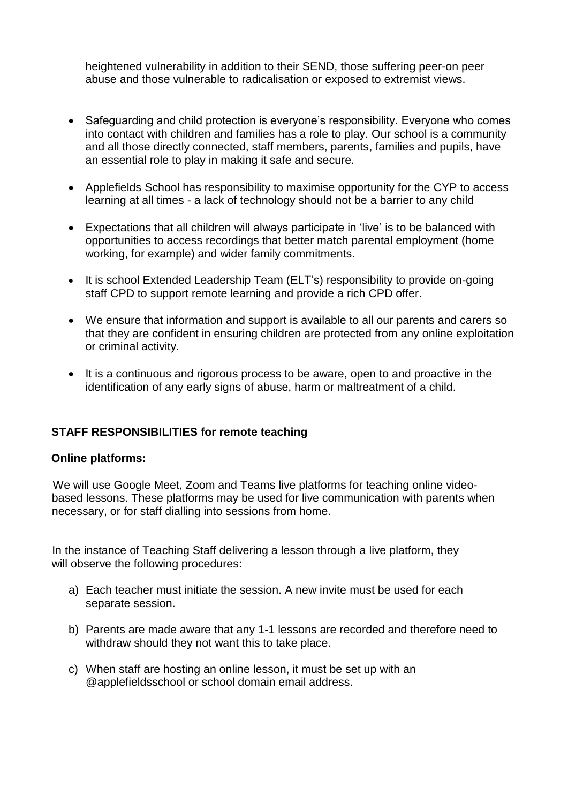heightened vulnerability in addition to their SEND, those suffering peer-on peer abuse and those vulnerable to radicalisation or exposed to extremist views.

- Safeguarding and child protection is everyone's responsibility. Everyone who comes into contact with children and families has a role to play. Our school is a community and all those directly connected, staff members, parents, families and pupils, have an essential role to play in making it safe and secure.
- Applefields School has responsibility to maximise opportunity for the CYP to access learning at all times - a lack of technology should not be a barrier to any child
- Expectations that all children will always participate in 'live' is to be balanced with opportunities to access recordings that better match parental employment (home working, for example) and wider family commitments.
- It is school Extended Leadership Team (ELT's) responsibility to provide on-going staff CPD to support remote learning and provide a rich CPD offer.
- We ensure that information and support is available to all our parents and carers so that they are confident in ensuring children are protected from any online exploitation or criminal activity.
- It is a continuous and rigorous process to be aware, open to and proactive in the identification of any early signs of abuse, harm or maltreatment of a child.

#### **STAFF RESPONSIBILITIES for remote teaching**

#### **Online platforms:**

We will use Google Meet, Zoom and Teams live platforms for teaching online videobased lessons. These platforms may be used for live communication with parents when necessary, or for staff dialling into sessions from home.

In the instance of Teaching Staff delivering a lesson through a live platform, they will observe the following procedures:

- a) Each teacher must initiate the session. A new invite must be used for each separate session.
- b) Parents are made aware that any 1-1 lessons are recorded and therefore need to withdraw should they not want this to take place.
- c) When staff are hosting an online lesson, it must be set up with an @applefieldsschool or school domain email address.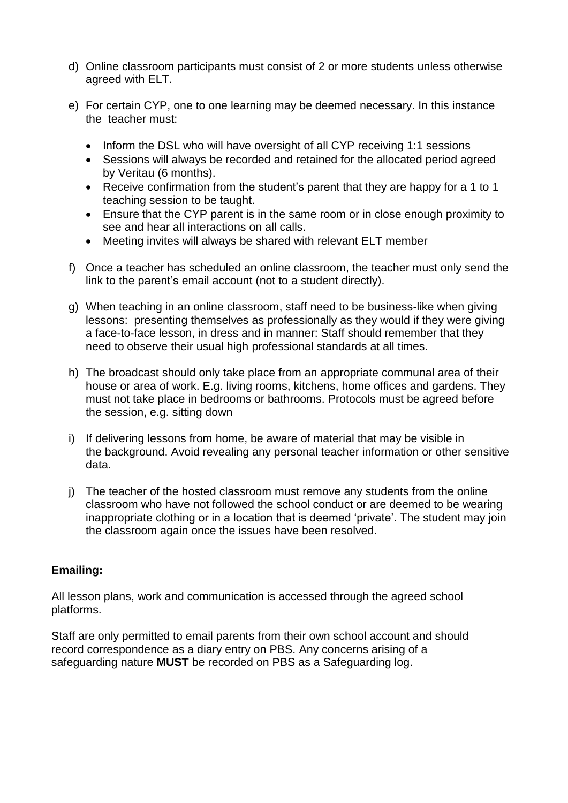- d) Online classroom participants must consist of 2 or more students unless otherwise agreed with ELT.
- e) For certain CYP, one to one learning may be deemed necessary. In this instance the teacher must:
	- Inform the DSL who will have oversight of all CYP receiving 1:1 sessions
	- Sessions will always be recorded and retained for the allocated period agreed by Veritau (6 months).
	- Receive confirmation from the student's parent that they are happy for a 1 to 1 teaching session to be taught.
	- Ensure that the CYP parent is in the same room or in close enough proximity to see and hear all interactions on all calls.
	- Meeting invites will always be shared with relevant ELT member
- f) Once a teacher has scheduled an online classroom, the teacher must only send the link to the parent's email account (not to a student directly).
- g) When teaching in an online classroom, staff need to be business-like when giving lessons: presenting themselves as professionally as they would if they were giving a face-to-face lesson, in dress and in manner: Staff should remember that they need to observe their usual high professional standards at all times.
- h) The broadcast should only take place from an appropriate communal area of their house or area of work. E.g. living rooms, kitchens, home offices and gardens. They must not take place in bedrooms or bathrooms. Protocols must be agreed before the session, e.g. sitting down
- i) If delivering lessons from home, be aware of material that may be visible in the background. Avoid revealing any personal teacher information or other sensitive data.
- j) The teacher of the hosted classroom must remove any students from the online classroom who have not followed the school conduct or are deemed to be wearing inappropriate clothing or in a location that is deemed 'private'. The student may join the classroom again once the issues have been resolved.

## **Emailing:**

All lesson plans, work and communication is accessed through the agreed school platforms.

Staff are only permitted to email parents from their own school account and should record correspondence as a diary entry on PBS. Any concerns arising of a safeguarding nature **MUST** be recorded on PBS as a Safeguarding log.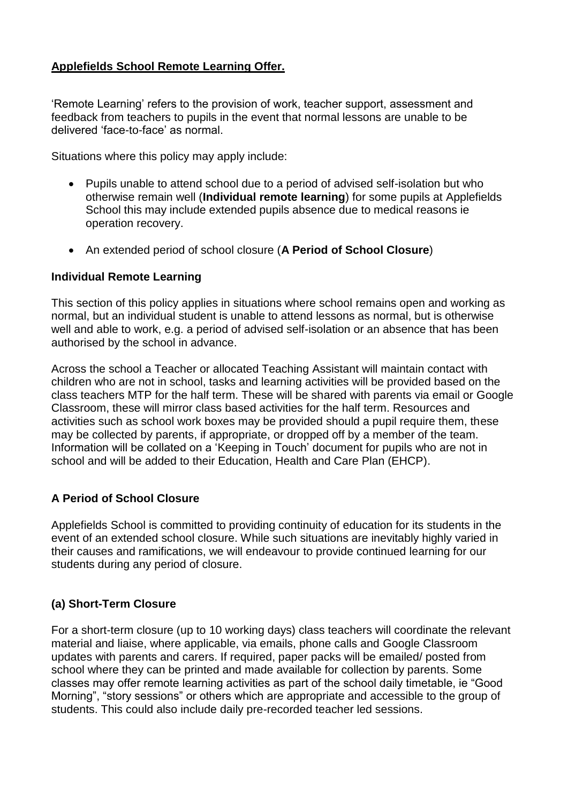# **Applefields School Remote Learning Offer.**

'Remote Learning' refers to the provision of work, teacher support, assessment and feedback from teachers to pupils in the event that normal lessons are unable to be delivered 'face-to-face' as normal.

Situations where this policy may apply include:

- Pupils unable to attend school due to a period of advised self-isolation but who otherwise remain well (**Individual remote learning**) for some pupils at Applefields School this may include extended pupils absence due to medical reasons ie operation recovery.
- An extended period of school closure (**A Period of School Closure**)

#### **Individual Remote Learning**

This section of this policy applies in situations where school remains open and working as normal, but an individual student is unable to attend lessons as normal, but is otherwise well and able to work, e.g. a period of advised self-isolation or an absence that has been authorised by the school in advance.

Across the school a Teacher or allocated Teaching Assistant will maintain contact with children who are not in school, tasks and learning activities will be provided based on the class teachers MTP for the half term. These will be shared with parents via email or Google Classroom, these will mirror class based activities for the half term. Resources and activities such as school work boxes may be provided should a pupil require them, these may be collected by parents, if appropriate, or dropped off by a member of the team. Information will be collated on a 'Keeping in Touch' document for pupils who are not in school and will be added to their Education, Health and Care Plan (EHCP).

## **A Period of School Closure**

Applefields School is committed to providing continuity of education for its students in the event of an extended school closure. While such situations are inevitably highly varied in their causes and ramifications, we will endeavour to provide continued learning for our students during any period of closure.

#### **(a) Short-Term Closure**

For a short-term closure (up to 10 working days) class teachers will coordinate the relevant material and liaise, where applicable, via emails, phone calls and Google Classroom updates with parents and carers. If required, paper packs will be emailed/ posted from school where they can be printed and made available for collection by parents. Some classes may offer remote learning activities as part of the school daily timetable, ie "Good Morning", "story sessions" or others which are appropriate and accessible to the group of students. This could also include daily pre-recorded teacher led sessions.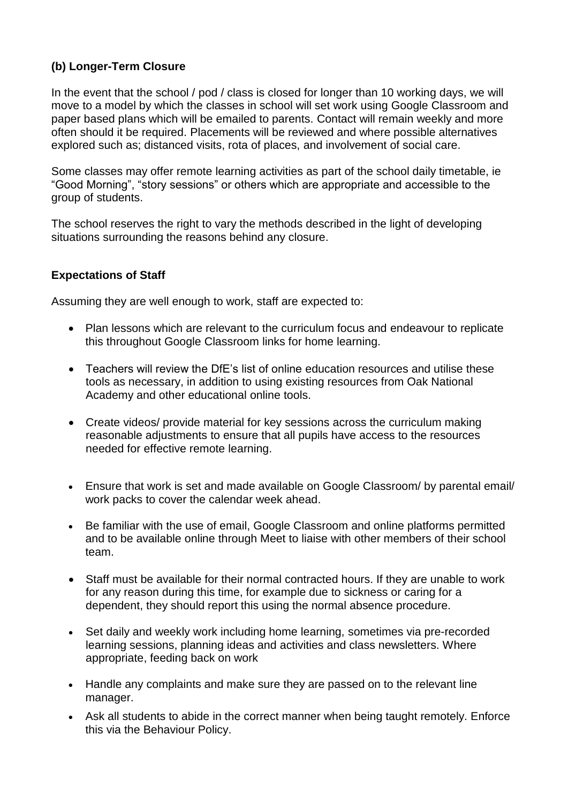# **(b) Longer-Term Closure**

In the event that the school / pod / class is closed for longer than 10 working days, we will move to a model by which the classes in school will set work using Google Classroom and paper based plans which will be emailed to parents. Contact will remain weekly and more often should it be required. Placements will be reviewed and where possible alternatives explored such as; distanced visits, rota of places, and involvement of social care.

Some classes may offer remote learning activities as part of the school daily timetable, ie "Good Morning", "story sessions" or others which are appropriate and accessible to the group of students.

The school reserves the right to vary the methods described in the light of developing situations surrounding the reasons behind any closure.

#### **Expectations of Staff**

Assuming they are well enough to work, staff are expected to:

- Plan lessons which are relevant to the curriculum focus and endeavour to replicate this throughout Google Classroom links for home learning.
- Teachers will review the DfE's list of online education resources and utilise these tools as necessary, in addition to using existing resources from Oak National Academy and other educational online tools.
- Create videos/ provide material for key sessions across the curriculum making reasonable adjustments to ensure that all pupils have access to the resources needed for effective remote learning.
- Ensure that work is set and made available on Google Classroom/ by parental email/ work packs to cover the calendar week ahead.
- Be familiar with the use of email, Google Classroom and online platforms permitted and to be available online through Meet to liaise with other members of their school team.
- Staff must be available for their normal contracted hours. If they are unable to work for any reason during this time, for example due to sickness or caring for a dependent, they should report this using the normal absence procedure.
- Set daily and weekly work including home learning, sometimes via pre-recorded learning sessions, planning ideas and activities and class newsletters. Where appropriate, feeding back on work
- Handle any complaints and make sure they are passed on to the relevant line manager.
- Ask all students to abide in the correct manner when being taught remotely. Enforce this via the Behaviour Policy.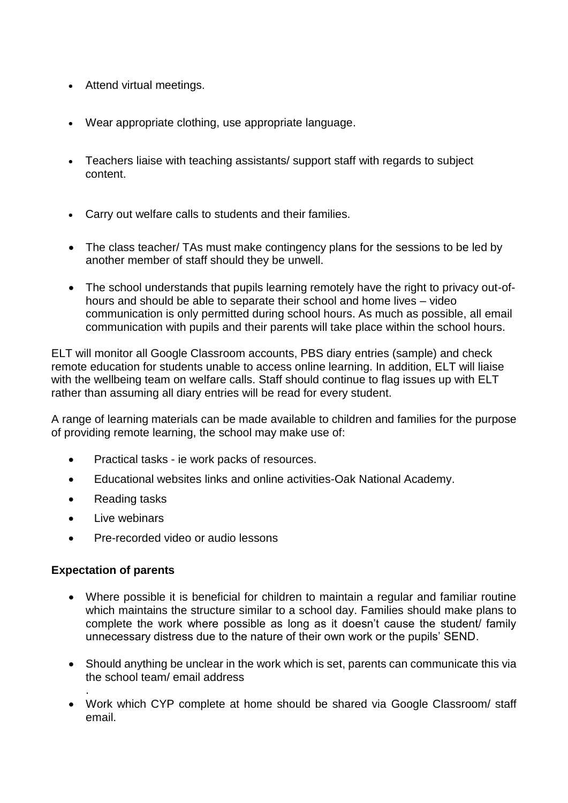- Attend virtual meetings.
- Wear appropriate clothing, use appropriate language.
- Teachers liaise with teaching assistants/ support staff with regards to subject content.
- Carry out welfare calls to students and their families.
- The class teacher/ TAs must make contingency plans for the sessions to be led by another member of staff should they be unwell.
- The school understands that pupils learning remotely have the right to privacy out-ofhours and should be able to separate their school and home lives – video communication is only permitted during school hours. As much as possible, all email communication with pupils and their parents will take place within the school hours.

ELT will monitor all Google Classroom accounts, PBS diary entries (sample) and check remote education for students unable to access online learning. In addition, ELT will liaise with the wellbeing team on welfare calls. Staff should continue to flag issues up with ELT rather than assuming all diary entries will be read for every student.

A range of learning materials can be made available to children and families for the purpose of providing remote learning, the school may make use of:

- Practical tasks ie work packs of resources.
- Educational websites links and online activities-Oak National Academy.
- Reading tasks
- Live webinars
- Pre-recorded video or audio lessons

#### **Expectation of parents**

.

- Where possible it is beneficial for children to maintain a regular and familiar routine which maintains the structure similar to a school day. Families should make plans to complete the work where possible as long as it doesn't cause the student/ family unnecessary distress due to the nature of their own work or the pupils' SEND.
- Should anything be unclear in the work which is set, parents can communicate this via the school team/ email address
- Work which CYP complete at home should be shared via Google Classroom/ staff email.